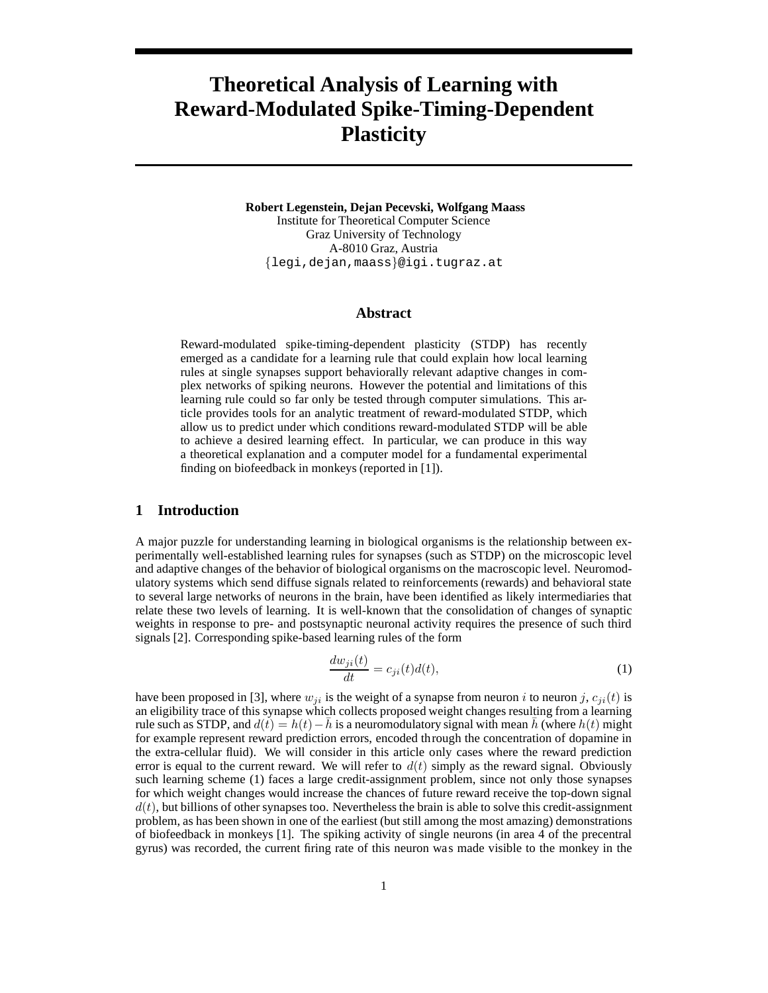# **Theoretical Analysis of Learning with Reward-Modulated Spike-Timing-Dependent Plasticity**

**Robert Legenstein, Dejan Pecevski, Wolfgang Maass** Institute for Theoretical Computer Science Graz University of Technology A-8010 Graz, Austria {legi,dejan,maass}@igi.tugraz.at

## **Abstract**

Reward-modulated spike-timing-dependent plasticity (STDP) has recently emerged as a candidate for a learning rule that could explain how local learning rules at single synapses support behaviorally relevant adaptive changes in complex networks of spiking neurons. However the potential and limitations of this learning rule could so far only be tested through computer simulations. This article provides tools for an analytic treatment of reward-modulated STDP, which allow us to predict under which conditions reward-modulated STDP will be able to achieve a desired learning effect. In particular, we can produce in this way a theoretical explanation and a computer model for a fundamental experimental finding on biofeedback in monkeys (reported in [1]).

## **1 Introduction**

A major puzzle for understanding learning in biological organisms is the relationship between experimentally well-established learning rules for synapses (such as STDP) on the microscopic level and adaptive changes of the behavior of biological organisms on the macroscopic level. Neuromodulatory systems which send diffuse signals related to reinforcements (rewards) and behavioral state to several large networks of neurons in the brain, have been identified as likely intermediaries that relate these two levels of learning. It is well-known that the consolidation of changes of synaptic weights in response to pre- and postsynaptic neuronal activity requires the presence of such third signals [2]. Corresponding spike-based learning rules of the form

$$
\frac{dw_{ji}(t)}{dt} = c_{ji}(t)d(t),
$$
\n(1)

have been proposed in [3], where  $w_{ji}$  is the weight of a synapse from neuron i to neuron j,  $c_{ji}(t)$  is an eligibility trace of this synapse which collects proposed weight changes resulting from a learning rule such as STDP, and  $d(t) = h(t) - \bar{h}$  is a neuromodulatory signal with mean  $\bar{h}$  (where  $h(t)$  might for example represent reward prediction errors, encoded through the concentration of dopamine in the extra-cellular fluid). We will consider in this article only cases where the reward prediction error is equal to the current reward. We will refer to  $d(t)$  simply as the reward signal. Obviously such learning scheme (1) faces a large credit-assignment problem, since not only those synapses for which weight changes would increase the chances of future reward receive the top-down signal  $d(t)$ , but billions of other synapses too. Nevertheless the brain is able to solve this credit-assignment problem, as has been shown in one of the earliest (but still among the most amazing) demonstrations of biofeedback in monkeys [1]. The spiking activity of single neurons (in area 4 of the precentral gyrus) was recorded, the current firing rate of this neuron was made visible to the monkey in the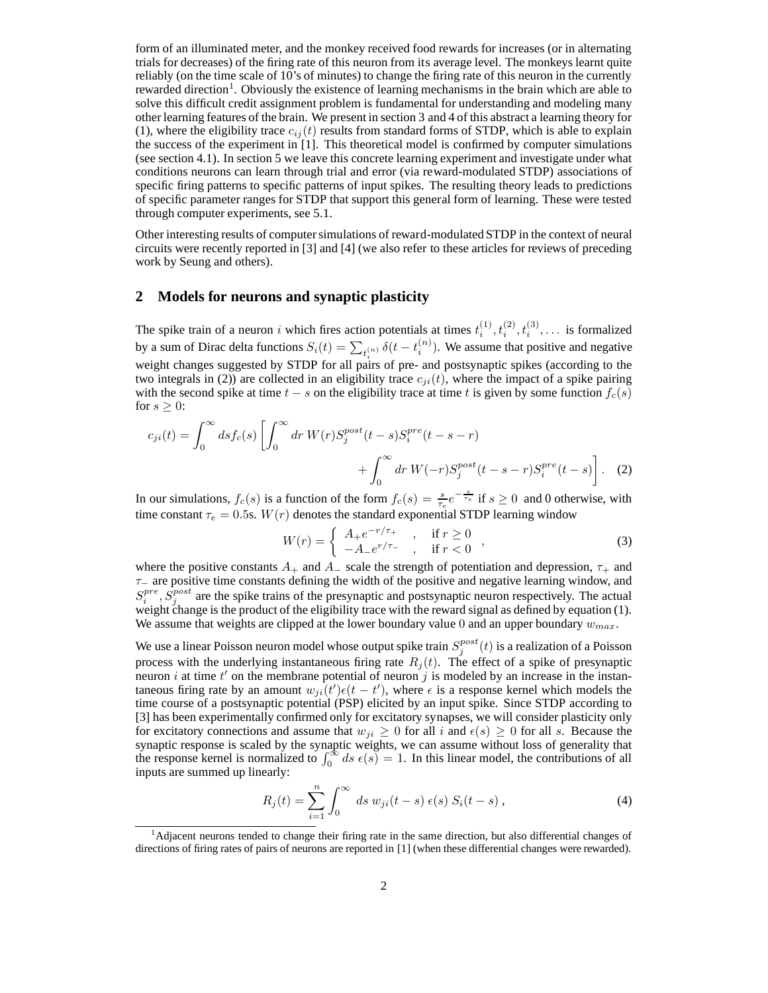form of an illuminated meter, and the monkey received food rewards for increases (or in alternating trials for decreases) of the firing rate of this neuron from its average level. The monkeys learnt quite reliably (on the time scale of 10's of minutes) to change the firing rate of this neuron in the currently rewarded direction<sup>1</sup>. Obviously the existence of learning mechanisms in the brain which are able to solve this difficult credit assignment problem is fundamental for understanding and modeling many other learning features of the brain. We present in section 3 and 4 of this abstract a learning theory for (1), where the eligibility trace  $c_{ij}(t)$  results from standard forms of STDP, which is able to explain the success of the experiment in [1]. This theoretical model is confirmed by computer simulations (see section 4.1). In section 5 we leave this concrete learning experiment and investigate under what conditions neurons can learn through trial and error (via reward-modulated STDP) associations of specific firing patterns to specific patterns of input spikes. The resulting theory leads to predictions of specific parameter ranges for STDP that support this general form of learning. These were tested through computer experiments, see 5.1.

Other interesting results of computer simulations of reward-modulated STDP in the context of neural circuits were recently reported in [3] and [4] (we also refer to these articles for reviews of preceding work by Seung and others).

## **2 Models for neurons and synaptic plasticity**

The spike train of a neuron i which fires action potentials at times  $t_i^{(1)}$ ,  $t_i^{(2)}$ ,  $t_i^{(3)}$ , ... is formalized by a sum of Dirac delta functions  $S_i(t) = \sum_{t_i^{(n)}} \delta(t - t_i^{(n)})$ . We assume that positive and negative weight changes suggested by STDP for all pairs of pre- and postsynaptic spikes (according to the two integrals in (2)) are collected in an eligibility trace  $c_{ji}(t)$ , where the impact of a spike pairing with the second spike at time  $t - s$  on the eligibility trace at time t is given by some function  $f_c(s)$ for  $s \geq 0$ :

$$
c_{ji}(t) = \int_0^\infty ds f_c(s) \left[ \int_0^\infty dr \ W(r) S_j^{post}(t-s) S_i^{pre}(t-s-r) + \int_0^\infty dr \ W(-r) S_j^{post}(t-s-r) S_i^{pre}(t-s) \right]. \tag{2}
$$

In our simulations,  $f_c(s)$  is a function of the form  $f_c(s) = \frac{s}{\tau_e} e^{-\frac{s}{\tau_e}}$  if  $s \ge 0$  and 0 otherwise, with time constant  $\tau_e = 0.5$ s.  $W(r)$  denotes the standard exponential STDP learning window

$$
W(r) = \begin{cases} A_{+}e^{-r/\tau_{+}} & , \text{if } r \ge 0 \\ -A_{-}e^{r/\tau_{-}} & , \text{if } r < 0 \end{cases} ,
$$
 (3)

where the positive constants  $A_+$  and  $A_-$  scale the strength of potentiation and depression,  $\tau_+$  and  $\tau$ − are positive time constants defining the width of the positive and negative learning window, and  $S_i^{pre}$ ,  $S_j^{post}$  are the spike trains of the presynaptic and postsynaptic neuron respectively. The actual weight change is the product of the eligibility trace with the reward signal as defined by equation (1). We assume that weights are clipped at the lower boundary value 0 and an upper boundary  $w_{max}$ .

We use a linear Poisson neuron model whose output spike train  $S_j^{post}(t)$  is a realization of a Poisson process with the underlying instantaneous firing rate  $R_j(t)$ . The effect of a spike of presynaptic neuron i at time  $t'$  on the membrane potential of neuron j is modeled by an increase in the instantaneous firing rate by an amount  $w_{ji}(t')\epsilon(t-t')$ , where  $\epsilon$  is a response kernel which models the time course of a postsynaptic potential (PSP) elicited by an input spike. Since STDP according to [3] has been experimentally confirmed only for excitatory synapses, we will consider plasticity only for excitatory connections and assume that  $w_{ji} \ge 0$  for all i and  $\epsilon(s) \ge 0$  for all s. Because the synaptic response is scaled by the synaptic weights, we can assume without loss of generality that the response kernel is normalized to  $\int_0^\infty ds \epsilon(s) = 1$ . In this linear model, the contributions of all inputs are summed up linearly:

$$
R_j(t) = \sum_{i=1}^{n} \int_0^{\infty} ds \ w_{ji}(t-s) \ \epsilon(s) \ S_i(t-s) \ , \tag{4}
$$

<sup>&</sup>lt;sup>1</sup>Adjacent neurons tended to change their firing rate in the same direction, but also differential changes of directions of firing rates of pairs of neurons are reported in [1] (when these differential changes were rewarded).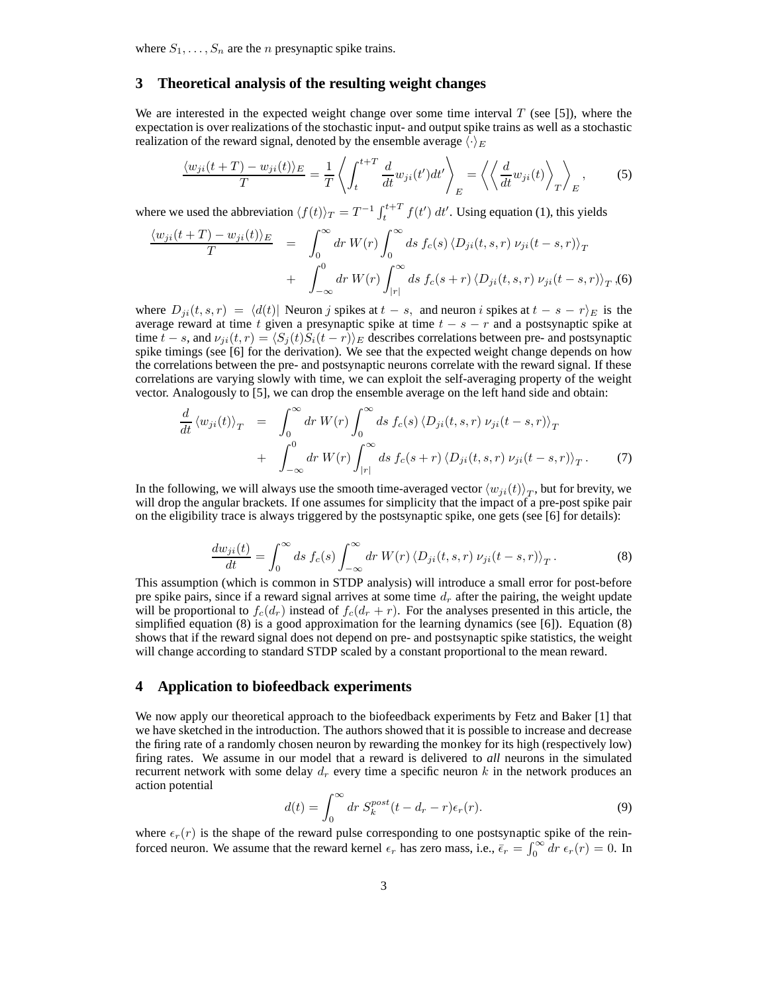where  $S_1, \ldots, S_n$  are the *n* presynaptic spike trains.

# **3 Theoretical analysis of the resulting weight changes**

We are interested in the expected weight change over some time interval  $T$  (see [5]), where the expectation is over realizations of the stochastic input- and output spike trains as well as a stochastic realization of the reward signal, denoted by the ensemble average  $\langle \cdot \rangle_E$ 

$$
\frac{\langle w_{ji}(t+T) - w_{ji}(t) \rangle_E}{T} = \frac{1}{T} \left\langle \int_t^{t+T} \frac{d}{dt} w_{ji}(t') dt' \right\rangle_E = \left\langle \left\langle \frac{d}{dt} w_{ji}(t) \right\rangle_T \right\rangle_E, \tag{5}
$$

where we used the abbreviation  $\langle f(t) \rangle_T = T^{-1} \int_t^{t+T} f(t') dt'$ . Using equation (1), this yields

$$
\frac{\langle w_{ji}(t+T) - w_{ji}(t) \rangle_E}{T} = \int_0^\infty dr \, W(r) \int_0^\infty ds \, f_c(s) \, \langle D_{ji}(t,s,r) \, \nu_{ji}(t-s,r) \rangle_T \n+ \int_{-\infty}^0 dr \, W(r) \int_{|r|}^\infty ds \, f_c(s+r) \, \langle D_{ji}(t,s,r) \, \nu_{ji}(t-s,r) \rangle_T, (6)
$$

where  $D_{ji}(t, s, r) = \langle d(t) |$  Neuron j spikes at  $t - s$ , and neuron i spikes at  $t - s - r_E$  is the average reward at time t given a presynaptic spike at time  $t - s - r$  and a postsynaptic spike at time  $t - s$ , and  $\nu_{ji}(t, r) = \langle S_j(t)S_i(t - r) \rangle_E$  describes correlations between pre- and postsynaptic spike timings (see [6] for the derivation). We see that the expected weight change depends on how the correlations between the pre- and postsynaptic neurons correlate with the reward signal. If these correlations are varying slowly with time, we can exploit the self-averaging property of the weight vector. Analogously to [5], we can drop the ensemble average on the left hand side and obtain:

$$
\frac{d}{dt} \langle w_{ji}(t) \rangle_T = \int_0^\infty dr \, W(r) \int_0^\infty ds \, f_c(s) \, \langle D_{ji}(t, s, r) \, \nu_{ji}(t - s, r) \rangle_T \n+ \int_{-\infty}^0 dr \, W(r) \int_{|r|}^\infty ds \, f_c(s + r) \, \langle D_{ji}(t, s, r) \, \nu_{ji}(t - s, r) \rangle_T. \tag{7}
$$

In the following, we will always use the smooth time-averaged vector  $\langle w_{ji}(t) \rangle_T$ , but for brevity, we will drop the angular brackets. If one assumes for simplicity that the impact of a pre-post spike pair on the eligibility trace is always triggered by the postsynaptic spike, one gets (see [6] for details):

$$
\frac{dw_{ji}(t)}{dt} = \int_0^\infty ds \, f_c(s) \int_{-\infty}^\infty dr \, W(r) \, \langle D_{ji}(t,s,r) \, \nu_{ji}(t-s,r) \rangle_T \,. \tag{8}
$$

This assumption (which is common in STDP analysis) will introduce a small error for post-before pre spike pairs, since if a reward signal arrives at some time  $d_r$  after the pairing, the weight update will be proportional to  $f_c(d_r)$  instead of  $f_c(d_r + r)$ . For the analyses presented in this article, the simplified equation (8) is a good approximation for the learning dynamics (see [6]). Equation (8) shows that if the reward signal does not depend on pre- and postsynaptic spike statistics, the weight will change according to standard STDP scaled by a constant proportional to the mean reward.

## **4 Application to biofeedback experiments**

We now apply our theoretical approach to the biofeedback experiments by Fetz and Baker [1] that we have sketched in the introduction. The authors showed that it is possible to increase and decrease the firing rate of a randomly chosen neuron by rewarding the monkey for its high (respectively low) firing rates. We assume in our model that a reward is delivered to *all* neurons in the simulated recurrent network with some delay  $d_r$  every time a specific neuron k in the network produces an action potential

$$
d(t) = \int_0^\infty dr \ S_k^{post} (t - d_r - r) \epsilon_r(r). \tag{9}
$$

where  $\epsilon_r(r)$  is the shape of the reward pulse corresponding to one postsynaptic spike of the reinforced neuron. We assume that the reward kernel  $\epsilon_r$  has zero mass, i.e.,  $\bar{\epsilon}_r = \int_0^\infty dr \, \epsilon_r(r) = 0$ . In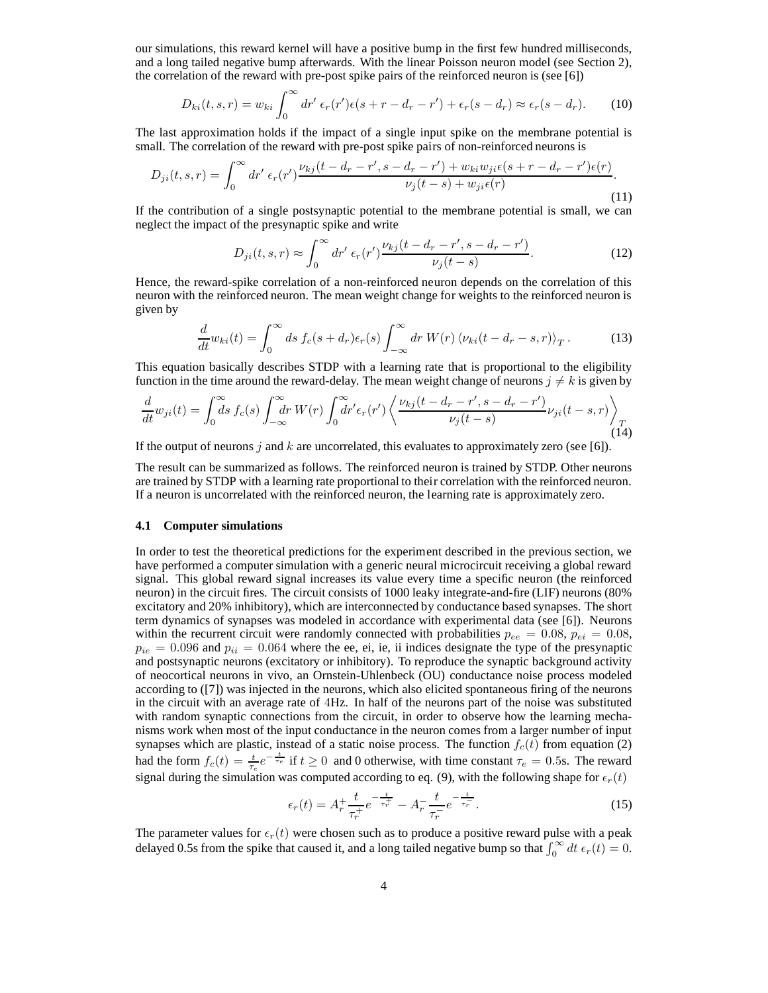our simulations, this reward kernel will have a positive bump in the first few hundred milliseconds, and a long tailed negative bump afterwards. With the linear Poisson neuron model (see Section 2), the correlation of the reward with pre-post spike pairs of the reinforced neuron is (see [6])

$$
D_{ki}(t,s,r) = w_{ki} \int_0^\infty dr' \, \epsilon_r(r') \epsilon(s+r-d_r-r') + \epsilon_r(s-d_r) \approx \epsilon_r(s-d_r). \tag{10}
$$

The last approximation holds if the impact of a single input spike on the membrane potential is small. The correlation of the reward with pre-post spike pairs of non-reinforced neurons is

$$
D_{ji}(t,s,r) = \int_0^\infty dr' \, \epsilon_r(r') \frac{\nu_{kj}(t - d_r - r', s - d_r - r') + w_{ki} w_{ji} \epsilon(s + r - d_r - r') \epsilon(r)}{\nu_j(t - s) + w_{ji} \epsilon(r)}.\tag{11}
$$

If the contribution of a single postsynaptic potential to the membrane potential is small, we can neglect the impact of the presynaptic spike and write

$$
D_{ji}(t,s,r) \approx \int_0^\infty dr' \,\epsilon_r(r') \frac{\nu_{kj}(t - d_r - r', s - d_r - r')}{\nu_j(t - s)}.\tag{12}
$$

Hence, the reward-spike correlation of a non-reinforced neuron depends on the correlation of this neuron with the reinforced neuron. The mean weight change for weights to the reinforced neuron is given by

$$
\frac{d}{dt}w_{ki}(t) = \int_0^\infty ds \, f_c(s + d_r)\epsilon_r(s) \int_{-\infty}^\infty dr \, W(r) \, \langle \nu_{ki}(t - d_r - s, r) \rangle_T \,. \tag{13}
$$

This equation basically describes STDP with a learning rate that is proportional to the eligibility function in the time around the reward-delay. The mean weight change of neurons  $j \neq k$  is given by

$$
\frac{d}{dt}w_{ji}(t) = \int_0^\infty ds \, f_c(s) \int_{-\infty}^\infty dr \, W(r) \int_0^\infty dr' \epsilon_r(r') \left\langle \frac{\nu_{kj}(t - d_r - r', s - d_r - r')}{\nu_j(t - s)} \nu_{ji}(t - s, r) \right\rangle_T
$$
\n(14)

If the output of neurons j and k are uncorrelated, this evaluates to approximately zero (see [6]).

The result can be summarized as follows. The reinforced neuron is trained by STDP. Other neurons are trained by STDP with a learning rate proportional to their correlation with the reinforced neuron. If a neuron is uncorrelated with the reinforced neuron, the learning rate is approximately zero.

#### **4.1 Computer simulations**

In order to test the theoretical predictions for the experiment described in the previous section, we have performed a computer simulation with a generic neural microcircuit receiving a global reward signal. This global reward signal increases its value every time a specific neuron (the reinforced neuron) in the circuit fires. The circuit consists of 1000 leaky integrate-and-fire (LIF) neurons (80% excitatory and 20% inhibitory), which are interconnected by conductance based synapses. The short term dynamics of synapses was modeled in accordance with experimental data (see [6]). Neurons within the recurrent circuit were randomly connected with probabilities  $p_{ee} = 0.08$ ,  $p_{ei} = 0.08$ ,  $p_{ie} = 0.096$  and  $p_{ii} = 0.064$  where the ee, ei, ie, ii indices designate the type of the presynaptic and postsynaptic neurons (excitatory or inhibitory). To reproduce the synaptic background activity of neocortical neurons in vivo, an Ornstein-Uhlenbeck (OU) conductance noise process modeled according to ([7]) was injected in the neurons, which also elicited spontaneous firing of the neurons in the circuit with an average rate of 4Hz. In half of the neurons part of the noise was substituted with random synaptic connections from the circuit, in order to observe how the learning mechanisms work when most of the input conductance in the neuron comes from a larger number of input synapses which are plastic, instead of a static noise process. The function  $f_c(t)$  from equation (2) had the form  $f_c(t) = \frac{t}{\tau_e} e^{-\frac{t}{\tau_e}}$  if  $t \ge 0$  and 0 otherwise, with time constant  $\tau_e = 0.5$ s. The reward signal during the simulation was computed according to eq. (9), with the following shape for  $\epsilon_r(t)$ 

$$
\epsilon_r(t) = A_r^+ \frac{t}{\tau_r^+} e^{-\frac{t}{\tau_r^+}} - A_r^- \frac{t}{\tau_r^-} e^{-\frac{t}{\tau_r^-}}.
$$
\n(15)

The parameter values for  $\epsilon_r(t)$  were chosen such as to produce a positive reward pulse with a peak delayed 0.5s from the spike that caused it, and a long tailed negative bump so that  $\int_0^\infty dt \epsilon_r(t) = 0$ .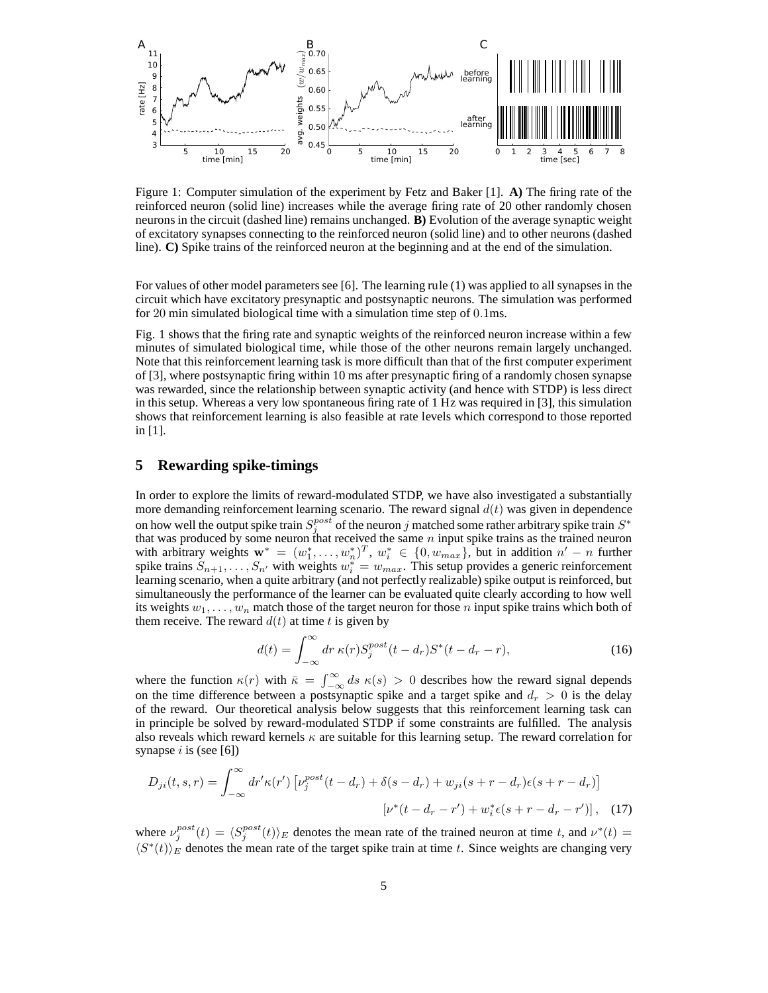

Figure 1: Computer simulation of the experiment by Fetz and Baker [1]. **A)** The firing rate of the reinforced neuron (solid line) increases while the average firing rate of 20 other randomly chosen neurons in the circuit (dashed line) remains unchanged. **B)** Evolution of the average synaptic weight of excitatory synapses connecting to the reinforced neuron (solid line) and to other neurons (dashed line). **C)** Spike trains of the reinforced neuron at the beginning and at the end of the simulation.

For values of other model parameters see [6]. The learning rule (1) was applied to all synapses in the circuit which have excitatory presynaptic and postsynaptic neurons. The simulation was performed for 20 min simulated biological time with a simulation time step of 0.1ms.

Fig. 1 shows that the firing rate and synaptic weights of the reinforced neuron increase within a few minutes of simulated biological time, while those of the other neurons remain largely unchanged. Note that this reinforcement learning task is more difficult than that of the first computer experiment of [3], where postsynaptic firing within 10 ms after presynaptic firing of a randomly chosen synapse was rewarded, since the relationship between synaptic activity (and hence with STDP) is less direct in this setup. Whereas a very low spontaneous firing rate of 1 Hz was required in [3], this simulation shows that reinforcement learning is also feasible at rate levels which correspond to those reported in [1].

## **5 Rewarding spike-timings**

In order to explore the limits of reward-modulated STDP, we have also investigated a substantially more demanding reinforcement learning scenario. The reward signal  $d(t)$  was given in dependence on how well the output spike train  $S_j^{post}$  of the neuron j matched some rather arbitrary spike train  $S^*$ that was produced by some neuron that received the same *n* input spike trains as the trained neuron that received the same *n* input spike trains as the trained neuron with arbitrary weights  $\mathbf{w}^* = (w_1^*, \dots, w_n^*)^T$ ,  $w_i^* \in \{0, w_{max}\}$ , but in addition  $n' - n$  further spike trains  $S_{n+1}, \ldots, S_{n'}$  with weights  $w_i^* = w_{max}$ . This setup provides a generic reinforcement learning scenario, when a quite arbitrary (and not perfectly realizable) spike output is reinforced, but simultaneously the performance of the learner can be evaluated quite clearly according to how well its weights  $w_1, \ldots, w_n$  match those of the target neuron for those n input spike trains which both of them receive. The reward  $d(t)$  at time t is given by

$$
d(t) = \int_{-\infty}^{\infty} dr \,\kappa(r) S_j^{post}(t - d_r) S^*(t - d_r - r),\tag{16}
$$

where the function  $\kappa(r)$  with  $\bar{\kappa} = \int_{-\infty}^{\infty} ds \kappa(s) > 0$  describes how the reward signal depends on the time difference between a postsynaptic spike and a target spike and  $d_r > 0$  is the delay of the reward. Our theoretical analysis below suggests that this reinforcement learning task can in principle be solved by reward-modulated STDP if some constraints are fulfilled. The analysis also reveals which reward kernels  $\kappa$  are suitable for this learning setup. The reward correlation for synapse  $i$  is (see [6])

$$
D_{ji}(t,s,r) = \int_{-\infty}^{\infty} dr' \kappa(r') \left[ \nu_j^{post}(t - d_r) + \delta(s - d_r) + w_{ji}(s + r - d_r)\epsilon(s + r - d_r) \right]
$$

$$
\left[ \nu^*(t - d_r - r') + w_i^*(s + r - d_r - r') \right], \quad (17)
$$

where  $\nu_j^{post}(t) = \langle S_j^{post}(t) \rangle_E$  denotes the mean rate of the trained neuron at time t, and  $\nu^*(t) =$  $\langle S^*(t) \rangle_E$  denotes the mean rate of the target spike train at time t. Since weights are changing very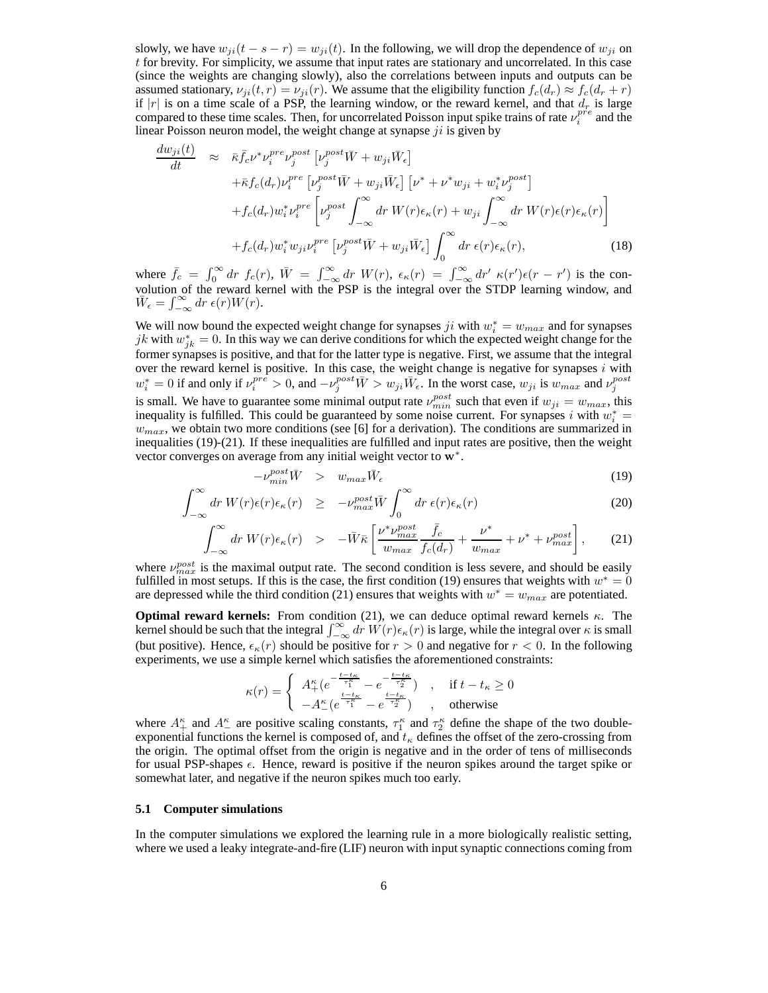slowly, we have  $w_{ji}(t - s - r) = w_{ji}(t)$ . In the following, we will drop the dependence of  $w_{ji}$  on t for brevity. For simplicity, we assume that input rates are stationary and uncorrelated. In this case (since the weights are changing slowly), also the correlations between inputs and outputs can be assumed stationary,  $\nu_{ii}(t, r) = \nu_{ii}(r)$ . We assume that the eligibility function  $f_c(d_r) \approx f_c(d_r + r)$ if |r| is on a time scale of a PSP, the learning window, or the reward kernel, and that  $d_r$  is large compared to these time scales. Then, for uncorrelated Poisson input spike trains of rate  $\nu_i^{pre}$  and the linear Poisson neuron model, the weight change at synapse  $ji$  is given by

$$
\frac{dw_{ji}(t)}{dt} \approx \bar{\kappa} \bar{f}_c \nu^* \nu_i^{pre} \nu_j^{post} \left[ \nu_j^{post} \bar{W} + w_{ji} \bar{W}_\epsilon \right] \n+ \bar{\kappa} f_c(d_r) \nu_i^{pre} \left[ \nu_j^{post} \bar{W} + w_{ji} \bar{W}_\epsilon \right] \left[ \nu^* + \nu^* w_{ji} + w_i^* \nu_j^{post} \right] \n+ f_c(d_r) w_i^* \nu_i^{pre} \left[ \nu_j^{post} \int_{-\infty}^{\infty} dr \ W(r) \epsilon_\kappa(r) + w_{ji} \int_{-\infty}^{\infty} dr \ W(r) \epsilon(r) \epsilon_\kappa(r) \right] \n+ f_c(d_r) w_i^* w_{ji} \nu_i^{pre} \left[ \nu_j^{post} \bar{W} + w_{ji} \bar{W}_\epsilon \right] \int_0^{\infty} dr \ \epsilon(r) \epsilon_\kappa(r), \tag{18}
$$

where  $\bar{f}_c = \int_0^\infty dr \ f_c(r)$ ,  $\bar{W} = \int_{-\infty}^\infty dr \ W(r)$ ,  $\epsilon_\kappa(r) = \int_{-\infty}^\infty dr' \ \kappa(r') \epsilon(r - r')$  is the convolution of the reward kernel with the PSP is the integral over the STDP learning window, and  $\bar{W}_{\epsilon} = \int_{-\infty}^{\infty} dr \, \epsilon(r) W(r).$ 

We will now bound the expected weight change for synapses  $ji$  with  $w_i^* = w_{max}$  and for synapses jk with  $w_{jk}^* = 0$ . In this way we can derive conditions for which the expected weight change for the former synapses is positive, and that for the latter type is negative. First, we assume that the integral over the reward kernel is positive. In this case, the weight change is negative for synapses  $i$  with  $w_i^* = 0$  if and only if  $\nu_i^{pre} > 0$ , and  $-\nu_j^{post} \overline{W} > w_{ji} \overline{W}_{\epsilon}$ . In the worst case,  $w_{ji}$  is  $w_{max}$  and  $\nu_j^{post}$ is small. We have to guarantee some minimal output rate  $\nu_{min}^{post}$  such that even if  $w_{ji} = w_{max}$ , this inequality is fulfilled. This could be guaranteed by some noise current. For synapses i with  $w_i^* =$  $w_{max}$ , we obtain two more conditions (see [6] for a derivation). The conditions are summarized in inequalities (19)-(21). If these inequalities are fulfilled and input rates are positive, then the weight vector converges on average from any initial weight vector to w<sup>\*</sup>.

$$
-\nu_{min}^{post}\bar{W} > w_{max}\bar{W}_{\epsilon}
$$
\n<sup>(19)</sup>

$$
\int_{-\infty}^{\infty} dr \, W(r) \epsilon(r) \epsilon_{\kappa}(r) \quad \geq \quad -\nu_{max}^{post} \bar{W} \int_{0}^{\infty} dr \, \epsilon(r) \epsilon_{\kappa}(r) \tag{20}
$$

$$
\int_{-\infty}^{\infty} dr \ W(r) \epsilon_{\kappa}(r) \quad > \quad -\bar{W}\bar{\kappa} \left[ \frac{\nu^* \nu_{max}^{post}}{w_{max}} \frac{\bar{f}_c}{f_c(d_r)} + \frac{\nu^*}{w_{max}} + \nu^* + \nu_{max}^{post} \right], \tag{21}
$$

where  $\nu_{max}^{post}$  is the maximal output rate. The second condition is less severe, and should be easily fulfilled in most setups. If this is the case, the first condition (19) ensures that weights with  $w^* = 0$ are depressed while the third condition (21) ensures that weights with  $w^* = w_{max}$  are potentiated.

**Optimal reward kernels:** From condition (21), we can deduce optimal reward kernels  $\kappa$ . The kernel should be such that the integral  $\int_{-\infty}^{\infty} dr \ W(r) \epsilon_{\kappa}(r)$  is large, while the integral over  $\kappa$  is small (but positive). Hence,  $\epsilon_{\kappa}(r)$  should be positive for  $r > 0$  and negative for  $r < 0$ . In the following experiments, we use a simple kernel which satisfies the aforementioned constraints:

$$
\kappa(r)=\left\{\begin{array}{ll} A_+^\kappa(e^{-\frac{t-t_\kappa}{\tau_1^\kappa}}-e^{-\frac{t-t_\kappa}{\tau_2^\kappa}}) & , & \text{if } t-t_\kappa\geq 0\\ -A_-^\kappa(e^{\frac{t-t_\kappa}{\tau_1^\kappa}}-e^{\frac{t-t_\kappa}{\tau_2^\kappa}}) & , & \text{otherwise} \end{array}\right.
$$

where  $A_+^{\kappa}$  and  $A_-^{\kappa}$  are positive scaling constants,  $\tau_1^{\kappa}$  and  $\tau_2^{\kappa}$  define the shape of the two doubleexponential functions the kernel is composed of, and  $t_{\kappa}$  defines the offset of the zero-crossing from the origin. The optimal offset from the origin is negative and in the order of tens of milliseconds for usual PSP-shapes  $\epsilon$ . Hence, reward is positive if the neuron spikes around the target spike or somewhat later, and negative if the neuron spikes much too early.

#### **5.1 Computer simulations**

In the computer simulations we explored the learning rule in a more biologically realistic setting, where we used a leaky integrate-and-fire (LIF) neuron with input synaptic connections coming from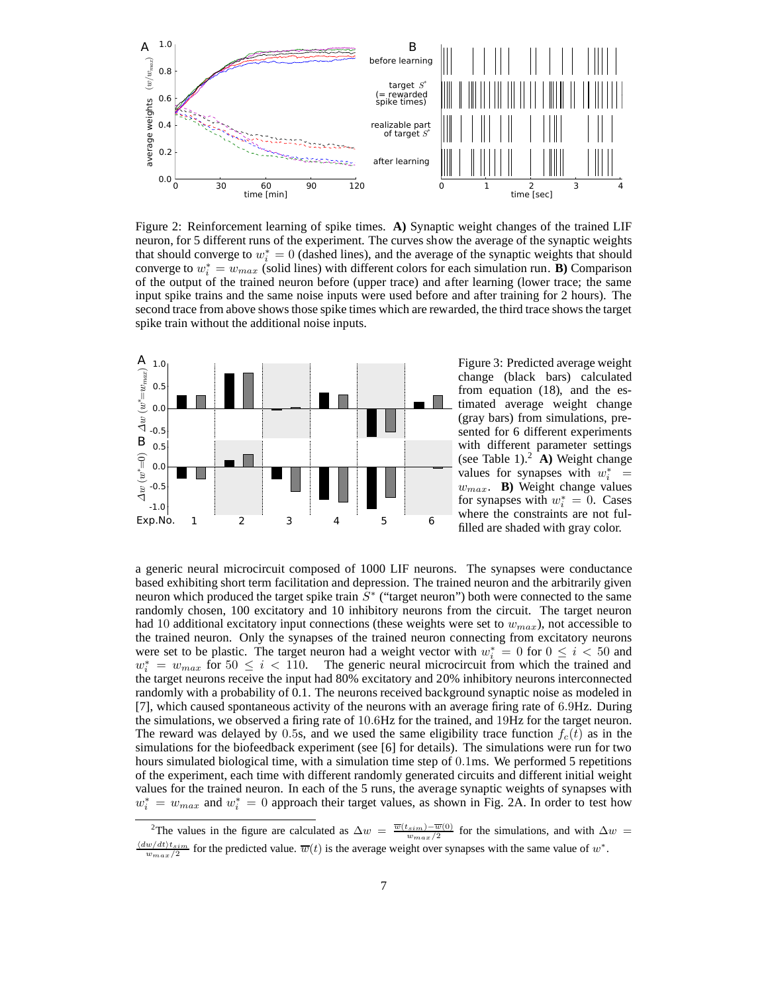

Figure 2: Reinforcement learning of spike times. **A)** Synaptic weight changes of the trained LIF neuron, for 5 different runs of the experiment. The curves show the average of the synaptic weights that should converge to  $w_i^* = 0$  (dashed lines), and the average of the synaptic weights that should converge to  $w_i^* = w_{max}$  (solid lines) with different colors for each simulation run. **B**) Comparison of the output of the trained neuron before (upper trace) and after learning (lower trace; the same input spike trains and the same noise inputs were used before and after training for 2 hours). The second trace from above shows those spike times which are rewarded, the third trace shows the target spike train without the additional noise inputs.



Figure 3: Predicted average weight change (black bars) calculated from equation (18), and the estimated average weight change (gray bars) from simulations, presented for 6 different experiments with different parameter settings (see Table 1).<sup>2</sup> **A**) Weight change values for synapses with  $w_i^* =$ wmax. **B)** Weight change values for synapses with  $w_i^* = 0$ . Cases where the constraints are not fulfilled are shaded with gray color.

a generic neural microcircuit composed of 1000 LIF neurons. The synapses were conductance based exhibiting short term facilitation and depression. The trained neuron and the arbitrarily given neuron which produced the target spike train  $\overline{S}^*$  ("target neuron") both were connected to the same randomly chosen, 100 excitatory and 10 inhibitory neurons from the circuit. The target neuron had 10 additional excitatory input connections (these weights were set to  $w_{max}$ ), not accessible to the trained neuron. Only the synapses of the trained neuron connecting from excitatory neurons were set to be plastic. The target neuron had a weight vector with  $w_i^* = 0$  for  $0 \le i < 50$  and  $w_i^* = w_{max}$  for  $50 \le i \le 110$ . The generic neural microcircuit from which the trained and the target neurons receive the input had 80% excitatory and 20% inhibitory neurons interconnected randomly with a probability of 0.1. The neurons received background synaptic noise as modeled in [7], which caused spontaneous activity of the neurons with an average firing rate of 6.9Hz. During the simulations, we observed a firing rate of 10.6Hz for the trained, and 19Hz for the target neuron. The reward was delayed by 0.5s, and we used the same eligibility trace function  $f_c(t)$  as in the simulations for the biofeedback experiment (see [6] for details). The simulations were run for two hours simulated biological time, with a simulation time step of 0.1ms. We performed 5 repetitions of the experiment, each time with different randomly generated circuits and different initial weight values for the trained neuron. In each of the 5 runs, the average synaptic weights of synapses with  $w_i^* = w_{max}$  and  $w_i^* = 0$  approach their target values, as shown in Fig. 2A. In order to test how

<sup>&</sup>lt;sup>2</sup>The values in the figure are calculated as  $\Delta w = \frac{\overline{w}(t_{sim}) - \overline{w}(0)}{w_{max}/2}$  for the simulations, and with  $\Delta w =$  $\frac{\langle dw/dt \rangle t_{sim}}{w_{max}/2}$  for the predicted value.  $\overline{w}(t)$  is the average weight over synapses with the same value of  $w^*$ .